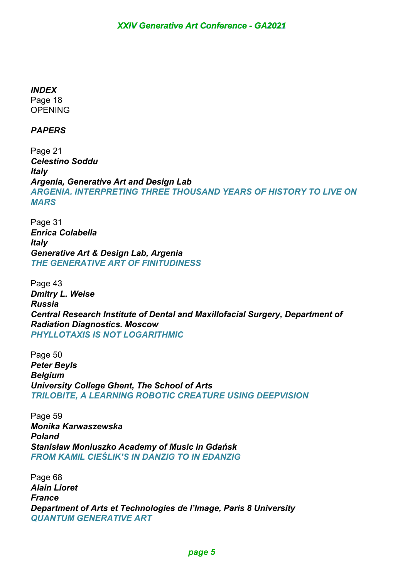*INDEX*

Page 18 OPENING

## *PAPERS*

Page 21 *Celestino Soddu Italy Argenia, Generative Art and Design Lab ARGENIA. INTERPRETING THREE THOUSAND YEARS OF HISTORY TO LIVE ON MARS XXIV Generative Art Conference - GA2021*<br>*XXIV Generative Art Conference - GA2021*<br>*XIIING THREE THOUSAND YEARS OF HIST<br><br><i>XI STOF FINITUDINESS*<br>*XIIING ROBOTIC CREATURE USING DEEPV*<br>*XIING ROBOTIC CREATURE USING DEEPV*<br>

Page 31 *Enrica Colabella Italy Generative Art & Design Lab, Argenia THE GENERATIVE ART OF FINITUDINESS*

Page 43 *Dmitry L. Weise Russia Central Research Institute of Dental and Maxillofacial Surgery, Department of Radiation Diagnostics. Moscow PHYLLOTAXIS IS NOT LOGARITHMIC*

Page 50 *Peter Beyls Belgium University College Ghent, The School of Arts TRILOBITE, A LEARNING ROBOTIC CREATURE USING DEEPVISION*

Page 59 *Monika Karwaszewska Poland Stanisław Moniuszko Academy of Music in Gdańsk FROM KAMIL CIEŚLIK'S IN DANZIG TO IN EDANZIG*

Page 68 *Alain Lioret France Department of Arts et Technologies de l'Image, Paris 8 University QUANTUM GENERATIVE ART*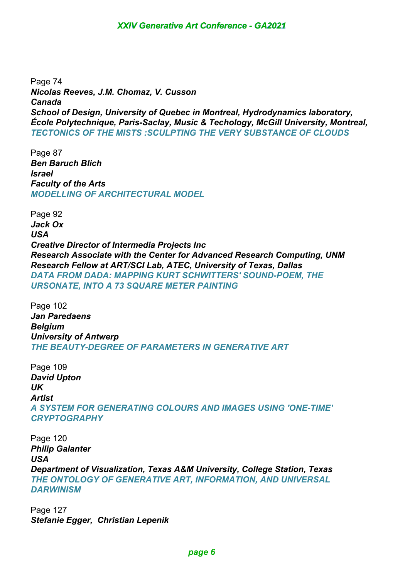Page 74 *Nicolas Reeves, J.M. Chomaz, V. Cusson Canada School of Design, University of Quebec in Montreal, Hydrodynamics laboratory, École Polytechnique, Paris-Saclay, Music & Techology, McGill University, Montreal, TECTONICS OF THE MISTS :SCULPTING THE VERY SUBSTANCE OF CLOUDS*

Page 87 *Ben Baruch Blich Israel Faculty of the Arts MODELLING OF ARCHITECTURAL MODEL*

Page 92 *Jack Ox USA Creative Director of Intermedia Projects Inc Research Associate with the Center for Advanced Research Computing, UNM Research Fellow at ART/SCI Lab, ATEC, University of Texas, Dallas DATA FROM DADA: MAPPING KURT SCHWITTERS' SOUND-POEM, THE URSONATE, INTO A 73 SQUARE METER PAINTING XXIV Generative Art Conference - GA2021*<br> *XXIV Generative Art Conference - GA2021*<br> *XXIV Generative In Montreal, Hydrodyna*<br> *Paris-Saclay, Music & Techology, McGill<br>
MISTS :SCULPTING THE VERY SUBSTAN<br>
RTISCI Lab, ATEC,* 

Page 102 *Jan Paredaens Belgium University of Antwerp THE BEAUTY-DEGREE OF PARAMETERS IN GENERATIVE ART*

Page 109 *David Upton UK Artist A SYSTEM FOR GENERATING COLOURS AND IMAGES USING 'ONE-TIME' CRYPTOGRAPHY*

Page 120 *Philip Galanter USA Department of Visualization, Texas A&M University, College Station, Texas THE ONTOLOGY OF GENERATIVE ART, INFORMATION, AND UNIVERSAL DARWINISM*

Page 127 *Stefanie Egger, Christian Lepenik*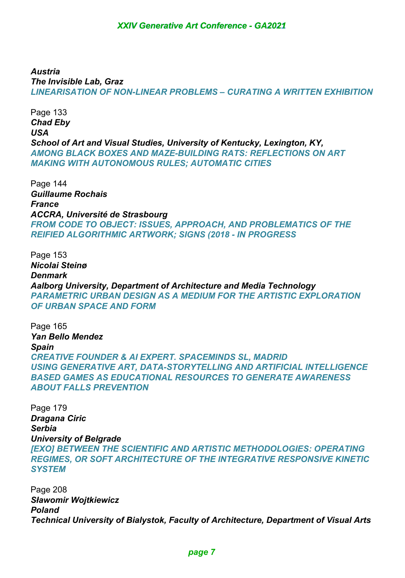*Austria The Invisible Lab, Graz LINEARISATION OF NON-LINEAR PROBLEMS – CURATING A WRITTEN EXHIBITION*

Page 133 *Chad Eby USA School of Art and Visual Studies, University of Kentucky, Lexington, KY, AMONG BLACK BOXES AND MAZE-BUILDING RATS: REFLECTIONS ON ART MAKING WITH AUTONOMOUS RULES; AUTOMATIC CITIES*

Page 144 *Guillaume Rochais France ACCRA, Université de Strasbourg FROM CODE TO OBJECT: ISSUES, APPROACH, AND PROBLEMATICS OF THE REIFIED ALGORITHMIC ARTWORK; SIGNS (2018 - IN PROGRESS*

Page 153 *Nicolai Steinø Denmark Aalborg University, Department of Architecture and Media Technology PARAMETRIC URBAN DESIGN AS A MEDIUM FOR THE ARTISTIC EXPLORATION OF URBAN SPACE AND FORM*

Page 165 *Yan Bello Mendez Spain CREATIVE FOUNDER & AI EXPERT. SPACEMINDS SL, MADRID USING GENERATIVE ART, DATA-STORYTELLING AND ARTIFICIAL INTELLIGENCE BASED GAMES AS EDUCATIONAL RESOURCES TO GENERATE AWARENESS ABOUT FALLS PREVENTION XXIV Generative Art Conference - GA2021*<br> *XXIV Generative Art Conference - GA2021*<br> *XXIV Generally FROBLEMS – CURATING A V*<br> *XXIV Generally Diversity of Kentucky, Lexing 78*<br> *XXIV Generation Indiversity of Kentucky, L* 

Page 179 *Dragana Ciric Serbia University of Belgrade [EXO] BETWEEN THE SCIENTIFIC AND ARTISTIC METHODOLOGIES: OPERATING REGIMES, OR SOFT ARCHITECTURE OF THE INTEGRATIVE RESPONSIVE KINETIC SYSTEM* 

Page 208 *Sławomir Wojtkiewicz Poland Technical University of Bialystok, Faculty of Architecture, Department of Visual Arts*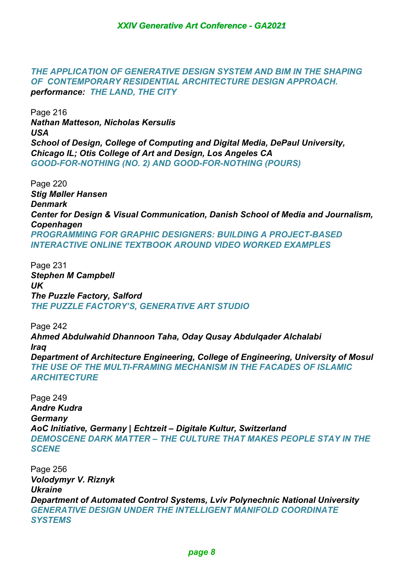*THE APPLICATION OF GENERATIVE DESIGN SYSTEM AND BIM IN THE SHAPING OF CONTEMPORARY RESIDENTIAL ARCHITECTURE DESIGN APPROACH. performance: THE LAND, THE CITY*

Page 216 *Nathan Matteson, Nicholas Kersulis USA School of Design, College of Computing and Digital Media, DePaul University, Chicago IL; Otis College of Art and Design, Los Angeles CA GOOD-FOR-NOTHING (NO. 2) AND GOOD-FOR-NOTHING (POURS)*

Page 220 *Stig Møller Hansen Denmark Center for Design & Visual Communication, Danish School of Media and Journalism, Copenhagen PROGRAMMING FOR GRAPHIC DESIGNERS: BUILDING A PROJECT-BASED INTERACTIVE ONLINE TEXTBOOK AROUND VIDEO WORKED EXAMPLES XXIV Generative Art Conference - GA2021<br>
F GENERATIVE DESIGN SYSTEM AND BII<br>
Y RESIDENTIAL ARCHITECTURE DESIGN<br>
AND, THE CITY<br>
holas Kersulis<br>
Ilege of Computing and Digital Media, DeF<br>
ge of Art and Design, Los Angeless* 

Page 231 *Stephen M Campbell UK The Puzzle Factory, Salford THE PUZZLE FACTORY'S, GENERATIVE ART STUDIO* 

Page 242 *Ahmed Abdulwahid Dhannoon Taha, Oday Qusay Abdulqader Alchalabi Iraq Department of Architecture Engineering, College of Engineering, University of Mosul THE USE OF THE MULTI-FRAMING MECHANISM IN THE FACADES OF ISLAMIC ARCHITECTURE* 

Page 249 *Andre Kudra Germany AoC Initiative, Germany | Echtzeit – Digitale Kultur, Switzerland DEMOSCENE DARK MATTER – THE CULTURE THAT MAKES PEOPLE STAY IN THE SCENE*

Page 256 *Volodymyr V. Riznyk Ukraine Department of Automated Control Systems, Lviv Polynechnic National University GENERATIVE DESIGN UNDER THE INTELLIGENT MANIFOLD COORDINATE SYSTEMS*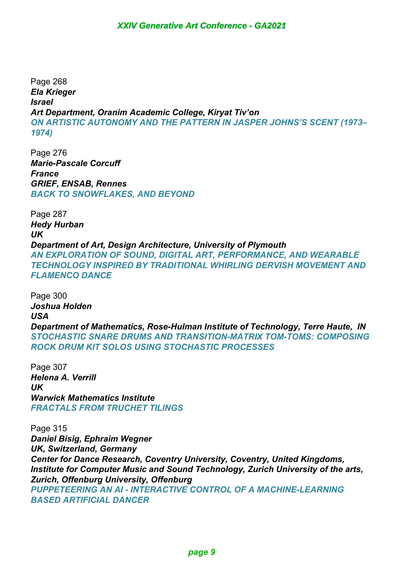Page 268 *Ela Krieger Israel Art Department, Oranim Academic College, Kiryat Tiv'on ON ARTISTIC AUTONOMY AND THE PATTERN IN JASPER JOHNS'S SCENT (1973– 1974)*

Page 276 *Marie-Pascale Corcuff France GRIEF, ENSAB, Rennes BACK TO SNOWFLAKES, AND BEYOND* 

Page 287 *Hedy Hurban UK Department of Art, Design Architecture, University of Plymouth AN EXPLORATION OF SOUND, DIGITAL ART, PERFORMANCE, AND WEARABLE TECHNOLOGY INSPIRED BY TRADITIONAL WHIRLING DERVISH MOVEMENT AND FLAMENCO DANCE*

Page 300 *Joshua Holden USA Department of Mathematics, Rose-Hulman Institute of Technology, Terre Haute, IN STOCHASTIC SNARE DRUMS AND TRANSITION-MATRIX TOM-TOMS: COMPOSING ROCK DRUM KIT SOLOS USING STOCHASTIC PROCESSES*

Page 307 *Helena A. Verrill UK Warwick Mathematics Institute FRACTALS FROM TRUCHET TILINGS*

Page 315 *Daniel Bisig, Ephraim Wegner UK, Switzerland, Germany Center for Dance Research, Coventry University, Coventry, United Kingdoms, Institute for Computer Music and Sound Technology, Zurich University of the arts, Zurich, Offenburg University, Offenburg PUPPETEERING AN AI - INTERACTIVE CONTROL OF A MACHINE-LEARNING BASED ARTIFICIAL DANCER XXIV Generative Art Conference - GA2021*<br> *im Academic College, Kiryat Tiv'on<br>
MWY AND THE PATTERN IN JASPER JOH<br>
Sesaling Architecture, University of Plymouth<br>
F SOUND, DIGITAL ART, PERFORMANCE,<br>
RED BY TRADITIONAL WHIRL*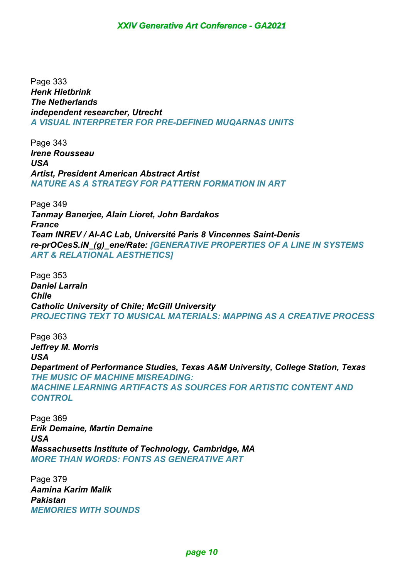Page 333 *Henk Hietbrink The Netherlands independent researcher, Utrecht A VISUAL INTERPRETER FOR PRE-DEFINED MUQARNAS UNITS*

Page 343 *Irene Rousseau USA Artist, President American Abstract Artist NATURE AS A STRATEGY FOR PATTERN FORMATION IN ART*

Page 349 *Tanmay Banerjee, Alain Lioret, John Bardakos France Team INREV / AI-AC Lab, Université Paris 8 Vincennes Saint-Denis re-prOCesS.iN\_(g)\_ene/Rate: [GENERATIVE PROPERTIES OF A LINE IN SYSTEMS ART & RELATIONAL AESTHETICS]*

Page 353 *Daniel Larrain Chile Catholic University of Chile; McGill University PROJECTING TEXT TO MUSICAL MATERIALS: MAPPING AS A CREATIVE PROCESS*

Page 363 *Jeffrey M. Morris USA Department of Performance Studies, Texas A&M University, College Station, Texas THE MUSIC OF MACHINE MISREADING: MACHINE LEARNING ARTIFACTS AS SOURCES FOR ARTISTIC CONTENT AND CONTROL XXIV Generative Art Conference - GA2021*<br> *XXIV Generative Art Conference - GA2021*<br> *Xican Abstract Artist*<br> *XIEGY FOR PATTERN FORMATION IN ART<br>
<i>XIA Universite Parts 8 Vincennes Saint-DeneRate: [GENERATIVE PROPERTIES O* 

Page 369 *Erik Demaine, Martin Demaine USA Massachusetts Institute of Technology, Cambridge, MA MORE THAN WORDS: FONTS AS GENERATIVE ART*

Page 379 *Aamina Karim Malik Pakistan MEMORIES WITH SOUNDS*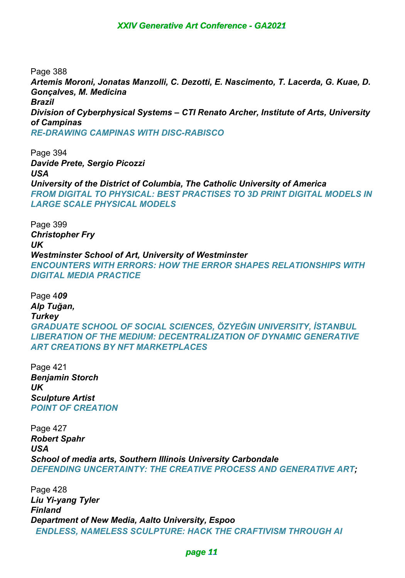Page 388 *Artemis Moroni, Jonatas Manzolli, C. Dezotti, E. Nascimento, T. Lacerda, G. Kuae, D. Gonçalves, M. Medicina Brazil Division of Cyberphysical Systems – CTI Renato Archer, Institute of Arts, University of Campinas RE-DRAWING CAMPINAS WITH DISC-RABISCO XXIV Generative Art Conference - GA2021*<br> *Atas Manzolli, C. Dezotti, E. Nascimento, T.<br>
are<br>
sical Systems – CTI Renato Archer, Institu<br>
NAS WITH DISC-RABISCO<br>
Picozzi<br>
rict of Columbia, The Catholic University<br>
YYSICAL:* 

Page 394 *Davide Prete, Sergio Picozzi USA University of the District of Columbia, The Catholic University of America FROM DIGITAL TO PHYSICAL: BEST PRACTISES TO 3D PRINT DIGITAL MODELS IN LARGE SCALE PHYSICAL MODELS*

Page 399 *Christopher Fry UK Westminster School of Art, University of Westminster ENCOUNTERS WITH ERRORS: HOW THE ERROR SHAPES RELATIONSHIPS WITH DIGITAL MEDIA PRACTICE*

Page 4*09 Alp Tuğan, Turkey GRADUATE SCHOOL OF SOCIAL SCIENCES, ÖZYEĞIN UNIVERSITY, İSTANBUL LIBERATION OF THE MEDIUM: DECENTRALIZATION OF DYNAMIC GENERATIVE ART CREATIONS BY NFT MARKETPLACES*

Page 421 *Benjamin Storch UK Sculpture Artist POINT OF CREATION*

Page 427 *Robert Spahr USA School of media arts, Southern Illinois University Carbondale DEFENDING UNCERTAINTY: THE CREATIVE PROCESS AND GENERATIVE ART;* 

Page 428 *Liu Yi-yang Tyler Finland Department of New Media, Aalto University, Espoo ENDLESS, NAMELESS SCULPTURE: HACK THE CRAFTIVISM THROUGH AI*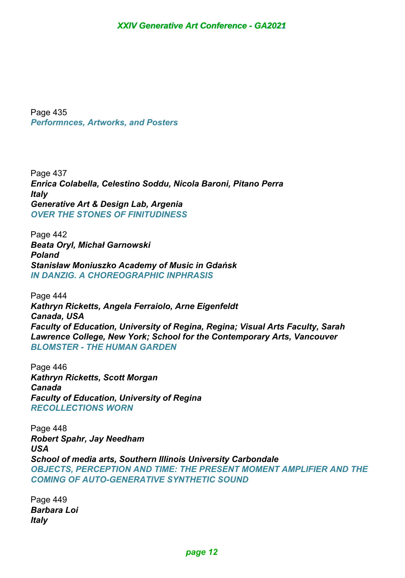Page 435 *Performnces, Artworks, and Posters* 

Page 437 *Enrica Colabella, Celestino Soddu, Nicola Baroni, Pitano Perra Italy Generative Art & Design Lab, Argenia OVER THE STONES OF FINITUDINESS*

Page 442 *Beata Oryl, Michał Garnowski Poland Stanisław Moniuszko Academy of Music in Gdańsk IN DANZIG. A CHOREOGRAPHIC INPHRASIS*

Page 444 *Kathryn Ricketts, Angela Ferraiolo, Arne Eigenfeldt Canada, USA Faculty of Education, University of Regina, Regina; Visual Arts Faculty, Sarah Lawrence College, New York; School for the Contemporary Arts, Vancouver BLOMSTER - THE HUMAN GARDEN XXIV Generative Art Conference - GA2021*<br>*XXIV Generative Art Conference - GA2021*<br>*X*<br>*XIV Generation Softer Space 2015*<br>*XIV FUNTUDINESS*<br>*X*<br>*XOGRAPHIC INPHRASIS<br>Page Areraiolo, Arne Eigenfeldt<br><i>University of Regina, R* 

Page 446 *Kathryn Ricketts, Scott Morgan Canada Faculty of Education, University of Regina RECOLLECTIONS WORN*

Page 448 *Robert Spahr, Jay Needham USA School of media arts, Southern Illinois University Carbondale OBJECTS, PERCEPTION AND TIME: THE PRESENT MOMENT AMPLIFIER AND THE COMING OF AUTO-GENERATIVE SYNTHETIC SOUND*

Page 449 *Barbara Loi Italy*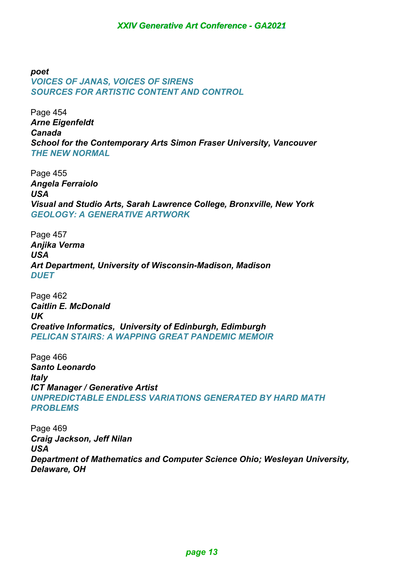*poet VOICES OF JANAS, VOICES OF SIRENS SOURCES FOR ARTISTIC CONTENT AND CONTROL*

Page 454 *Arne Eigenfeldt Canada School for the Contemporary Arts Simon Fraser University, Vancouver THE NEW NORMAL*

Page 455 *Angela Ferraiolo USA Visual and Studio Arts, Sarah Lawrence College, Bronxville, New York GEOLOGY: A GENERATIVE ARTWORK*

Page 457 *Anjika Verma USA Art Department, University of Wisconsin-Madison, Madison DUET*

Page 462 *Caitlin E. McDonald UK Creative Informatics, University of Edinburgh, Edimburgh PELICAN STAIRS: A WAPPING GREAT PANDEMIC MEMOIR*

Page 466 *Santo Leonardo Italy ICT Manager / Generative Artist UNPREDICTABLE ENDLESS VARIATIONS GENERATED BY HARD MATH PROBLEMS XXIV Generative Art Conference - GA2021*<br> *YOICES OF SIRENS<br>
MPORTY ART AND CONTROL<br>
MPORTY Arts Simon Fraser University, Val<br>
ATIVE ARTWORK<br>
PATIVE ARTWORK<br>
PATIVE ARTWORK<br>
PATIVE ARTWORK<br>
THE SERIES VARIATIONS GENERATED* 

Page 469 *Craig Jackson, Jeff Nilan USA Department of Mathematics and Computer Science Ohio; Wesleyan University, Delaware, OH*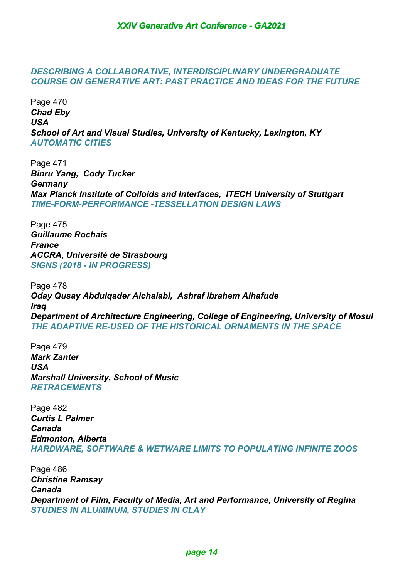## *DESCRIBING A COLLABORATIVE, INTERDISCIPLINARY UNDERGRADUATE COURSE ON GENERATIVE ART: PAST PRACTICE AND IDEAS FOR THE FUTURE*

Page 470 *Chad Eby USA School of Art and Visual Studies, University of Kentucky, Lexington, KY AUTOMATIC CITIES*

Page 471 *Binru Yang, Cody Tucker Germany Max Planck Institute of Colloids and Interfaces, ITECH University of Stuttgart TIME-FORM-PERFORMANCE -TESSELLATION DESIGN LAWS XXIV Generative Art Conference - GA2021<br>ABORATIVE, INTERDISCIPLINARY UNDE<br>ATIVE ART: PAST PRACTICE AND IDEAS<br>ual Studies, University of Kentucky, Lexin<br>cker<br>of Colloids and Interfaces, ITECH Univers<br>MANCE -TESSELLATION DE* 

Page 475 *Guillaume Rochais France ACCRA, Université de Strasbourg SIGNS (2018 - IN PROGRESS)*

Page 478 *Oday Qusay Abdulqader Alchalabi, Ashraf Ibrahem Alhafude Iraq Department of Architecture Engineering, College of Engineering, University of Mosul THE ADAPTIVE RE-USED OF THE HISTORICAL ORNAMENTS IN THE SPACE* 

Page 479 *Mark Zanter USA Marshall University, School of Music RETRACEMENTS*

Page 482 *Curtis L Palmer Canada Edmonton, Alberta HARDWARE, SOFTWARE & WETWARE LIMITS TO POPULATING INFINITE ZOOS*

Page 486 *Christine Ramsay Canada Department of Film, Faculty of Media, Art and Performance, University of Regina STUDIES IN ALUMINUM, STUDIES IN CLAY*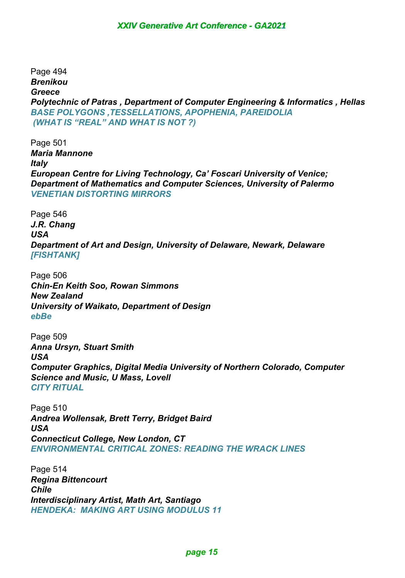Page 494 *Brenikou Greece Polytechnic of Patras , Department of Computer Engineering & Informatics , Hellas BASE POLYGONS ,TESSELLATIONS, APOPHENIA, PAREIDOLIA (WHAT IS "REAL" AND WHAT IS NOT ?)*

Page 501 *Maria Mannone Italy European Centre for Living Technology, Ca' Foscari University of Venice; Department of Mathematics and Computer Sciences, University of Palermo VENETIAN DISTORTING MIRRORS*

Page 546 *J.R. Chang USA Department of Art and Design, University of Delaware, Newark, Delaware [FISHTANK]*

Page 506 *Chin-En Keith Soo, Rowan Simmons New Zealand University of Waikato, Department of Design ebBe* 

Page 509 *Anna Ursyn, Stuart Smith USA Computer Graphics, Digital Media University of Northern Colorado, Computer Science and Music, U Mass, Lovell CITY RITUAL XXIV Generative Art Conference - GA2021*<br> *ZSSELLATIONS, APOPHENIA, PAREIDOLI*<br> *XDB WHAT IS NOT ?)*<br> *XIVING Technology, Ca' Foscari University*<br> *XIVING Technology, Ca' Foscari University*<br> *XIVIG MIRRORS*<br> *A Design, U* 

Page 510 *Andrea Wollensak, Brett Terry, Bridget Baird USA Connecticut College, New London, CT ENVIRONMENTAL CRITICAL ZONES: READING THE WRACK LINES*

Page 514 *Regina Bittencourt Chile Interdisciplinary Artist, Math Art, Santiago HENDEKA: MAKING ART USING MODULUS 11*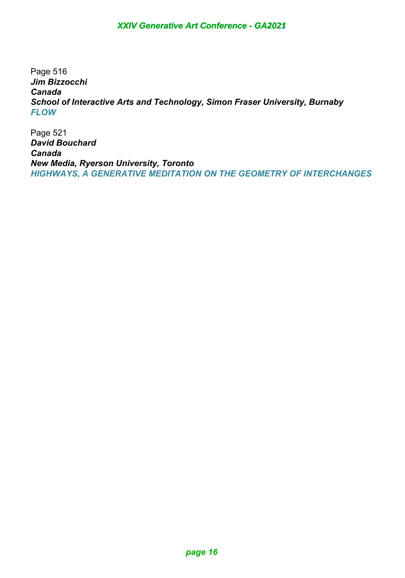Page 516 *Jim Bizzocchi Canada School of Interactive Arts and Technology, Simon Fraser University, Burnaby FLOW XXIV Generative Art Conference - GA2021*<br>*Arts and Technology, Simon Fraser Unive<br>Diniversity, Toronto<br>RATIVE MEDITATION ON THE GEOMETRY<br>page 16* 

Page 521 *David Bouchard Canada New Media, Ryerson University, Toronto HIGHWAYS, A GENERATIVE MEDITATION ON THE GEOMETRY OF INTERCHANGES*